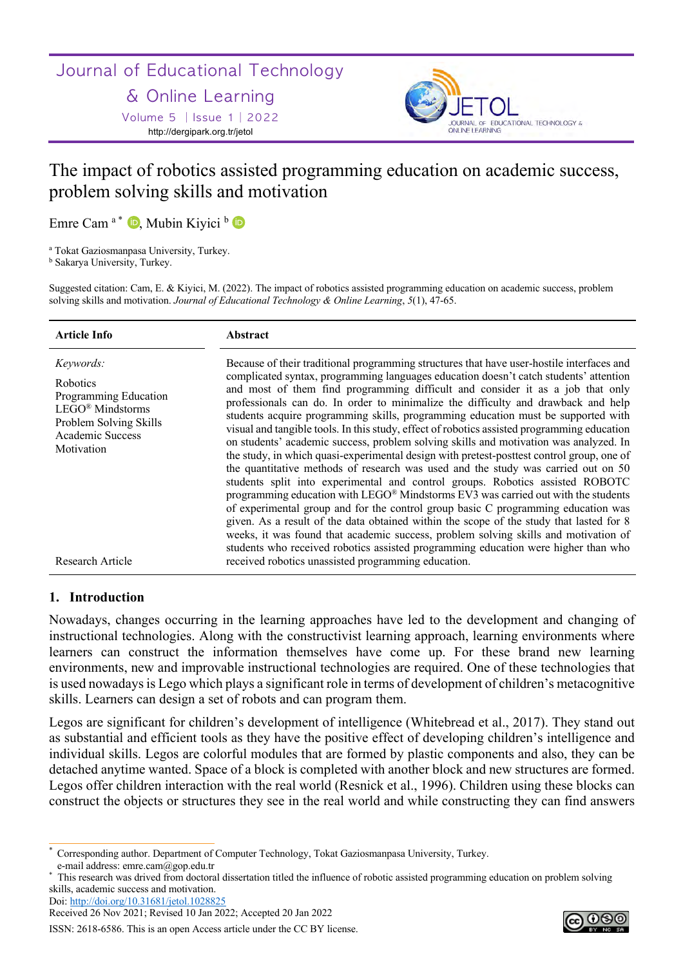## Journal of Educational Technology

## & Online Learning

Volume 5 │Issue 1│2022 http://dergipark.org.tr/jetol



# The impact of robotics assisted programming education on academic success, problem solving skills and motivation

Emre Cam<sup>a\*</sup> D, Mubin Kiyici b D

<sup>a</sup> Tokat Gaziosmanpasa University, Turkey.

<sup>b</sup> Sakarya University, Turkey.

Suggested citation: Cam, E. & Kiyici, M. (2022). The impact of robotics assisted programming education on academic success, problem solving skills and motivation. *Journal of Educational Technology & Online Learning*, *5*(1), 47-65.

| Article Info                                                                                                                                       | <b>Abstract</b>                                                                                                                                                                                                                                                                                                                                                                                                                                                                                                                                                                                                                                                                                                                                                                                                                                                                                                                                                                                                                                                                                                                                                                                                                                                                                                                                             |
|----------------------------------------------------------------------------------------------------------------------------------------------------|-------------------------------------------------------------------------------------------------------------------------------------------------------------------------------------------------------------------------------------------------------------------------------------------------------------------------------------------------------------------------------------------------------------------------------------------------------------------------------------------------------------------------------------------------------------------------------------------------------------------------------------------------------------------------------------------------------------------------------------------------------------------------------------------------------------------------------------------------------------------------------------------------------------------------------------------------------------------------------------------------------------------------------------------------------------------------------------------------------------------------------------------------------------------------------------------------------------------------------------------------------------------------------------------------------------------------------------------------------------|
| Keywords:<br><b>Robotics</b><br>Programming Education<br>$LEGO^{\circledR}$ Mindstorms<br>Problem Solving Skills<br>Academic Success<br>Motivation | Because of their traditional programming structures that have user-hostile interfaces and<br>complicated syntax, programming languages education doesn't catch students' attention<br>and most of them find programming difficult and consider it as a job that only<br>professionals can do. In order to minimalize the difficulty and drawback and help<br>students acquire programming skills, programming education must be supported with<br>visual and tangible tools. In this study, effect of robotics assisted programming education<br>on students' academic success, problem solving skills and motivation was analyzed. In<br>the study, in which quasi-experimental design with pretest-posttest control group, one of<br>the quantitative methods of research was used and the study was carried out on 50<br>students split into experimental and control groups. Robotics assisted ROBOTC<br>programming education with LEGO® Mindstorms EV3 was carried out with the students<br>of experimental group and for the control group basic C programming education was<br>given. As a result of the data obtained within the scope of the study that lasted for 8<br>weeks, it was found that academic success, problem solving skills and motivation of<br>students who received robotics assisted programming education were higher than who |
| Research Article                                                                                                                                   | received robotics unassisted programming education.                                                                                                                                                                                                                                                                                                                                                                                                                                                                                                                                                                                                                                                                                                                                                                                                                                                                                                                                                                                                                                                                                                                                                                                                                                                                                                         |

## **1. Introduction**

Nowadays, changes occurring in the learning approaches have led to the development and changing of instructional technologies. Along with the constructivist learning approach, learning environments where learners can construct the information themselves have come up. For these brand new learning environments, new and improvable instructional technologies are required. One of these technologies that is used nowadays is Lego which plays a significant role in terms of development of children's metacognitive skills. Learners can design a set of robots and can program them.

Legos are significant for children's development of intelligence (Whitebread et al., 2017). They stand out as substantial and efficient tools as they have the positive effect of developing children's intelligence and individual skills. Legos are colorful modules that are formed by plastic components and also, they can be detached anytime wanted. Space of a block is completed with another block and new structures are formed. Legos offer children interaction with the real world (Resnick et al., 1996). Children using these blocks can construct the objects or structures they see in the real world and while constructing they can find answers

Doi: http://doi.org/10.31681/jetol.1028825

Received 26 Nov 2021; Revised 10 Jan 2022; Accepted 20 Jan 2022



<sup>\*</sup> Corresponding author. Department of Computer Technology, Tokat Gaziosmanpasa University, Turkey. e-mail address: emre.cam@gop.edu.tr

<sup>\*</sup> This research was drived from doctoral dissertation titled the influence of robotic assisted programming education on problem solving skills, academic success and motivation.

ISSN: 2618-6586. This is an open Access article under the CC BY license.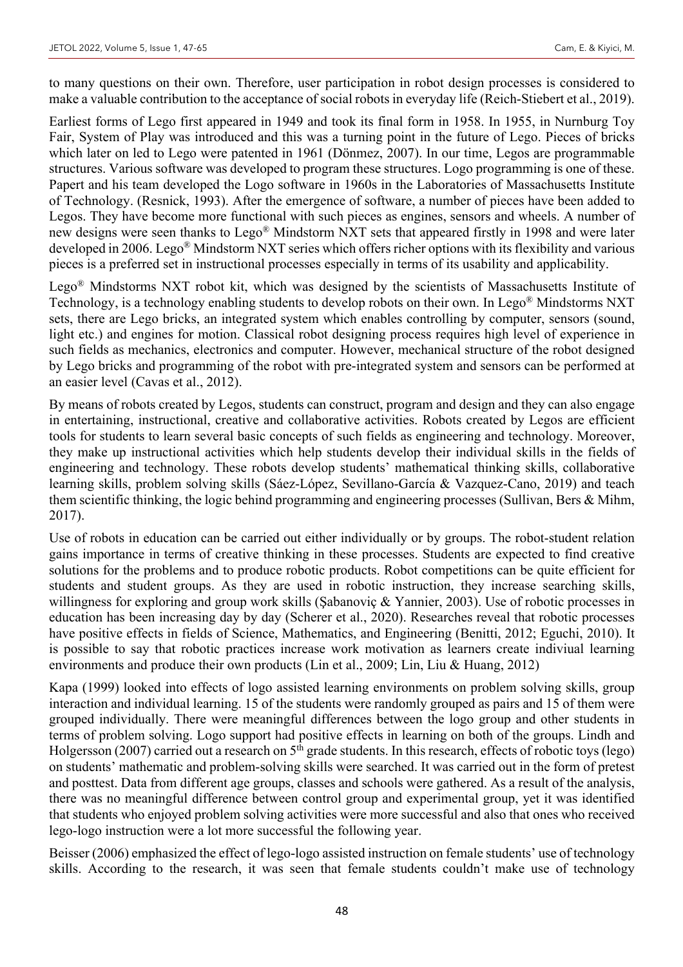to many questions on their own. Therefore, user participation in robot design processes is considered to make a valuable contribution to the acceptance of social robots in everyday life (Reich-Stiebert et al., 2019).

Earliest forms of Lego first appeared in 1949 and took its final form in 1958. In 1955, in Nurnburg Toy Fair, System of Play was introduced and this was a turning point in the future of Lego. Pieces of bricks which later on led to Lego were patented in 1961 (Dönmez, 2007). In our time, Legos are programmable structures. Various software was developed to program these structures. Logo programming is one of these. Papert and his team developed the Logo software in 1960s in the Laboratories of Massachusetts Institute of Technology. (Resnick, 1993). After the emergence of software, a number of pieces have been added to Legos. They have become more functional with such pieces as engines, sensors and wheels. A number of new designs were seen thanks to Lego® Mindstorm NXT sets that appeared firstly in 1998 and were later developed in 2006. Lego® Mindstorm NXT series which offers richer options with its flexibility and various pieces is a preferred set in instructional processes especially in terms of its usability and applicability.

Lego® Mindstorms NXT robot kit, which was designed by the scientists of Massachusetts Institute of Technology, is a technology enabling students to develop robots on their own. In Lego® Mindstorms NXT sets, there are Lego bricks, an integrated system which enables controlling by computer, sensors (sound, light etc.) and engines for motion. Classical robot designing process requires high level of experience in such fields as mechanics, electronics and computer. However, mechanical structure of the robot designed by Lego bricks and programming of the robot with pre-integrated system and sensors can be performed at an easier level (Cavas et al., 2012).

By means of robots created by Legos, students can construct, program and design and they can also engage in entertaining, instructional, creative and collaborative activities. Robots created by Legos are efficient tools for students to learn several basic concepts of such fields as engineering and technology. Moreover, they make up instructional activities which help students develop their individual skills in the fields of engineering and technology. These robots develop students' mathematical thinking skills, collaborative learning skills, problem solving skills (Sáez-López, Sevillano-García & Vazquez-Cano, 2019) and teach them scientific thinking, the logic behind programming and engineering processes (Sullivan, Bers & Mihm, 2017).

Use of robots in education can be carried out either individually or by groups. The robot-student relation gains importance in terms of creative thinking in these processes. Students are expected to find creative solutions for the problems and to produce robotic products. Robot competitions can be quite efficient for students and student groups. As they are used in robotic instruction, they increase searching skills, willingness for exploring and group work skills (Şabanoviç & Yannier, 2003). Use of robotic processes in education has been increasing day by day (Scherer et al., 2020). Researches reveal that robotic processes have positive effects in fields of Science, Mathematics, and Engineering (Benitti, 2012; Eguchi, 2010). It is possible to say that robotic practices increase work motivation as learners create indiviual learning environments and produce their own products (Lin et al., 2009; Lin, Liu & Huang, 2012)

Kapa (1999) looked into effects of logo assisted learning environments on problem solving skills, group interaction and individual learning. 15 of the students were randomly grouped as pairs and 15 of them were grouped individually. There were meaningful differences between the logo group and other students in terms of problem solving. Logo support had positive effects in learning on both of the groups. Lindh and Holgersson (2007) carried out a research on 5<sup>th</sup> grade students. In this research, effects of robotic toys (lego) on students' mathematic and problem-solving skills were searched. It was carried out in the form of pretest and posttest. Data from different age groups, classes and schools were gathered. As a result of the analysis, there was no meaningful difference between control group and experimental group, yet it was identified that students who enjoyed problem solving activities were more successful and also that ones who received lego-logo instruction were a lot more successful the following year.

Beisser (2006) emphasized the effect of lego-logo assisted instruction on female students' use of technology skills. According to the research, it was seen that female students couldn't make use of technology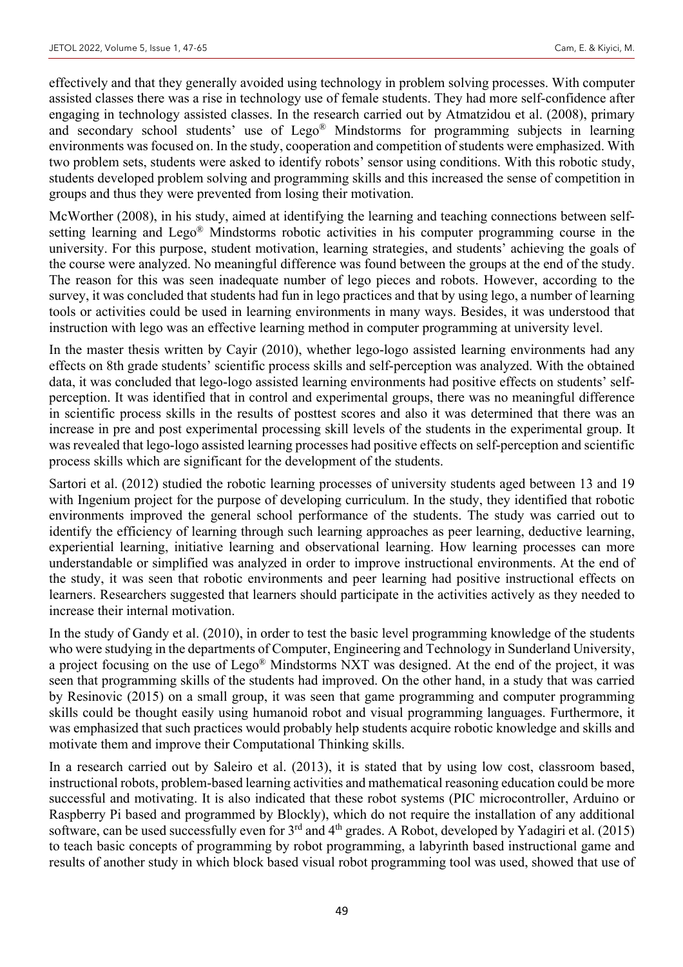effectively and that they generally avoided using technology in problem solving processes. With computer assisted classes there was a rise in technology use of female students. They had more self-confidence after engaging in technology assisted classes. In the research carried out by Atmatzidou et al. (2008), primary and secondary school students' use of Lego® Mindstorms for programming subjects in learning environments was focused on. In the study, cooperation and competition of students were emphasized. With two problem sets, students were asked to identify robots' sensor using conditions. With this robotic study, students developed problem solving and programming skills and this increased the sense of competition in groups and thus they were prevented from losing their motivation.

McWorther (2008), in his study, aimed at identifying the learning and teaching connections between selfsetting learning and Lego® Mindstorms robotic activities in his computer programming course in the university. For this purpose, student motivation, learning strategies, and students' achieving the goals of the course were analyzed. No meaningful difference was found between the groups at the end of the study. The reason for this was seen inadequate number of lego pieces and robots. However, according to the survey, it was concluded that students had fun in lego practices and that by using lego, a number of learning tools or activities could be used in learning environments in many ways. Besides, it was understood that instruction with lego was an effective learning method in computer programming at university level.

In the master thesis written by Cayir (2010), whether lego-logo assisted learning environments had any effects on 8th grade students' scientific process skills and self-perception was analyzed. With the obtained data, it was concluded that lego-logo assisted learning environments had positive effects on students' selfperception. It was identified that in control and experimental groups, there was no meaningful difference in scientific process skills in the results of posttest scores and also it was determined that there was an increase in pre and post experimental processing skill levels of the students in the experimental group. It was revealed that lego-logo assisted learning processes had positive effects on self-perception and scientific process skills which are significant for the development of the students.

Sartori et al. (2012) studied the robotic learning processes of university students aged between 13 and 19 with Ingenium project for the purpose of developing curriculum. In the study, they identified that robotic environments improved the general school performance of the students. The study was carried out to identify the efficiency of learning through such learning approaches as peer learning, deductive learning, experiential learning, initiative learning and observational learning. How learning processes can more understandable or simplified was analyzed in order to improve instructional environments. At the end of the study, it was seen that robotic environments and peer learning had positive instructional effects on learners. Researchers suggested that learners should participate in the activities actively as they needed to increase their internal motivation.

In the study of Gandy et al. (2010), in order to test the basic level programming knowledge of the students who were studying in the departments of Computer, Engineering and Technology in Sunderland University, a project focusing on the use of Lego® Mindstorms NXT was designed. At the end of the project, it was seen that programming skills of the students had improved. On the other hand, in a study that was carried by Resinovic (2015) on a small group, it was seen that game programming and computer programming skills could be thought easily using humanoid robot and visual programming languages. Furthermore, it was emphasized that such practices would probably help students acquire robotic knowledge and skills and motivate them and improve their Computational Thinking skills.

In a research carried out by Saleiro et al. (2013), it is stated that by using low cost, classroom based, instructional robots, problem-based learning activities and mathematical reasoning education could be more successful and motivating. It is also indicated that these robot systems (PIC microcontroller, Arduino or Raspberry Pi based and programmed by Blockly), which do not require the installation of any additional software, can be used successfully even for 3rd and 4th grades. A Robot, developed by Yadagiri et al. (2015) to teach basic concepts of programming by robot programming, a labyrinth based instructional game and results of another study in which block based visual robot programming tool was used, showed that use of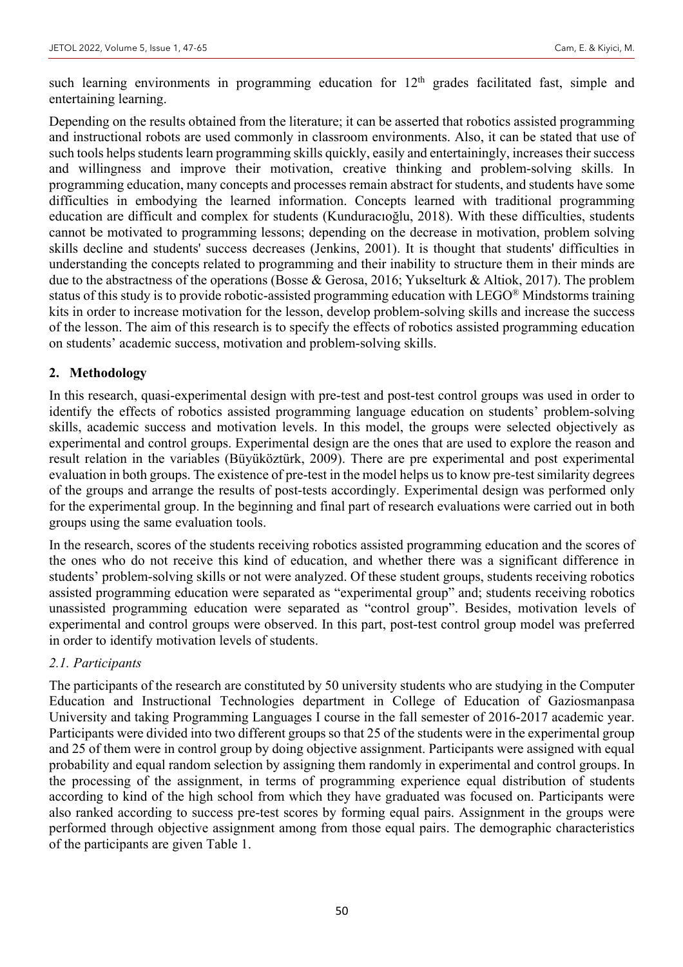such learning environments in programming education for  $12<sup>th</sup>$  grades facilitated fast, simple and entertaining learning.

Depending on the results obtained from the literature; it can be asserted that robotics assisted programming and instructional robots are used commonly in classroom environments. Also, it can be stated that use of such tools helps students learn programming skills quickly, easily and entertainingly, increases their success and willingness and improve their motivation, creative thinking and problem-solving skills. In programming education, many concepts and processes remain abstract for students, and students have some difficulties in embodying the learned information. Concepts learned with traditional programming education are difficult and complex for students (Kunduracıoğlu, 2018). With these difficulties, students cannot be motivated to programming lessons; depending on the decrease in motivation, problem solving skills decline and students' success decreases (Jenkins, 2001). It is thought that students' difficulties in understanding the concepts related to programming and their inability to structure them in their minds are due to the abstractness of the operations (Bosse & Gerosa, 2016; Yukselturk & Altiok, 2017). The problem status of this study is to provide robotic-assisted programming education with LEGO® Mindstorms training kits in order to increase motivation for the lesson, develop problem-solving skills and increase the success of the lesson. The aim of this research is to specify the effects of robotics assisted programming education on students' academic success, motivation and problem-solving skills.

## **2. Methodology**

In this research, quasi-experimental design with pre-test and post-test control groups was used in order to identify the effects of robotics assisted programming language education on students' problem-solving skills, academic success and motivation levels. In this model, the groups were selected objectively as experimental and control groups. Experimental design are the ones that are used to explore the reason and result relation in the variables (Büyüköztürk, 2009). There are pre experimental and post experimental evaluation in both groups. The existence of pre-test in the model helps us to know pre-test similarity degrees of the groups and arrange the results of post-tests accordingly. Experimental design was performed only for the experimental group. In the beginning and final part of research evaluations were carried out in both groups using the same evaluation tools.

In the research, scores of the students receiving robotics assisted programming education and the scores of the ones who do not receive this kind of education, and whether there was a significant difference in students' problem-solving skills or not were analyzed. Of these student groups, students receiving robotics assisted programming education were separated as "experimental group" and; students receiving robotics unassisted programming education were separated as "control group". Besides, motivation levels of experimental and control groups were observed. In this part, post-test control group model was preferred in order to identify motivation levels of students.

## *2.1. Participants*

The participants of the research are constituted by 50 university students who are studying in the Computer Education and Instructional Technologies department in College of Education of Gaziosmanpasa University and taking Programming Languages I course in the fall semester of 2016-2017 academic year. Participants were divided into two different groups so that 25 of the students were in the experimental group and 25 of them were in control group by doing objective assignment. Participants were assigned with equal probability and equal random selection by assigning them randomly in experimental and control groups. In the processing of the assignment, in terms of programming experience equal distribution of students according to kind of the high school from which they have graduated was focused on. Participants were also ranked according to success pre-test scores by forming equal pairs. Assignment in the groups were performed through objective assignment among from those equal pairs. The demographic characteristics of the participants are given Table 1.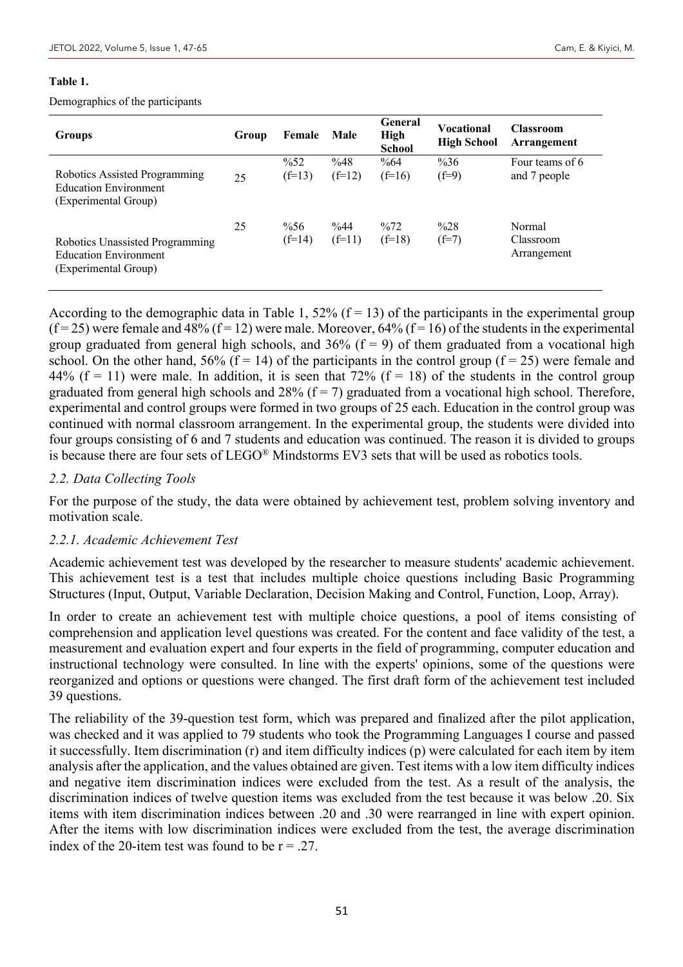#### **Table 1.**

Demographics of the participants

| <b>Groups</b>                                                                           | Group | Female                      | Male               | General<br><b>High</b><br><b>School</b> | Vocational<br><b>High School</b> | <b>Classroom</b><br>Arrangement    |
|-----------------------------------------------------------------------------------------|-------|-----------------------------|--------------------|-----------------------------------------|----------------------------------|------------------------------------|
| Robotics Assisted Programming<br><b>Education Environment</b><br>(Experimental Group)   | 25    | $\frac{9}{652}$<br>$(f=13)$ | %48<br>$(f=12)$    | $\%64$<br>$(f=16)$                      | $\%36$<br>$(f=9)$                | Four teams of 6<br>and 7 people    |
| Robotics Unassisted Programming<br><b>Education Environment</b><br>(Experimental Group) | 25    | $\%56$<br>$(f=14)$          | $\%44$<br>$(f=11)$ | $\frac{0}{072}$<br>$(f=18)$             | $\frac{0}{28}$<br>$(f=7)$        | Normal<br>Classroom<br>Arrangement |

According to the demographic data in Table 1, 52% ( $f = 13$ ) of the participants in the experimental group  $(f = 25)$  were female and 48%  $(f = 12)$  were male. Moreover, 64%  $(f = 16)$  of the students in the experimental group graduated from general high schools, and  $36\%$  (f = 9) of them graduated from a vocational high school. On the other hand, 56% ( $\vec{f}$  = 14) of the participants in the control group ( $\vec{f}$  = 25) were female and 44% ( $f = 11$ ) were male. In addition, it is seen that 72% ( $f = 18$ ) of the students in the control group graduated from general high schools and  $28\%$  (f = 7) graduated from a vocational high school. Therefore, experimental and control groups were formed in two groups of 25 each. Education in the control group was continued with normal classroom arrangement. In the experimental group, the students were divided into four groups consisting of 6 and 7 students and education was continued. The reason it is divided to groups is because there are four sets of LEGO® Mindstorms EV3 sets that will be used as robotics tools.

## *2.2. Data Collecting Tools*

For the purpose of the study, the data were obtained by achievement test, problem solving inventory and motivation scale.

#### *2.2.1. Academic Achievement Test*

Academic achievement test was developed by the researcher to measure students' academic achievement. This achievement test is a test that includes multiple choice questions including Basic Programming Structures (Input, Output, Variable Declaration, Decision Making and Control, Function, Loop, Array).

In order to create an achievement test with multiple choice questions, a pool of items consisting of comprehension and application level questions was created. For the content and face validity of the test, a measurement and evaluation expert and four experts in the field of programming, computer education and instructional technology were consulted. In line with the experts' opinions, some of the questions were reorganized and options or questions were changed. The first draft form of the achievement test included 39 questions.

The reliability of the 39-question test form, which was prepared and finalized after the pilot application, was checked and it was applied to 79 students who took the Programming Languages I course and passed it successfully. Item discrimination (r) and item difficulty indices (p) were calculated for each item by item analysis after the application, and the values obtained are given. Test items with a low item difficulty indices and negative item discrimination indices were excluded from the test. As a result of the analysis, the discrimination indices of twelve question items was excluded from the test because it was below .20. Six items with item discrimination indices between .20 and .30 were rearranged in line with expert opinion. After the items with low discrimination indices were excluded from the test, the average discrimination index of the 20-item test was found to be  $r = .27$ .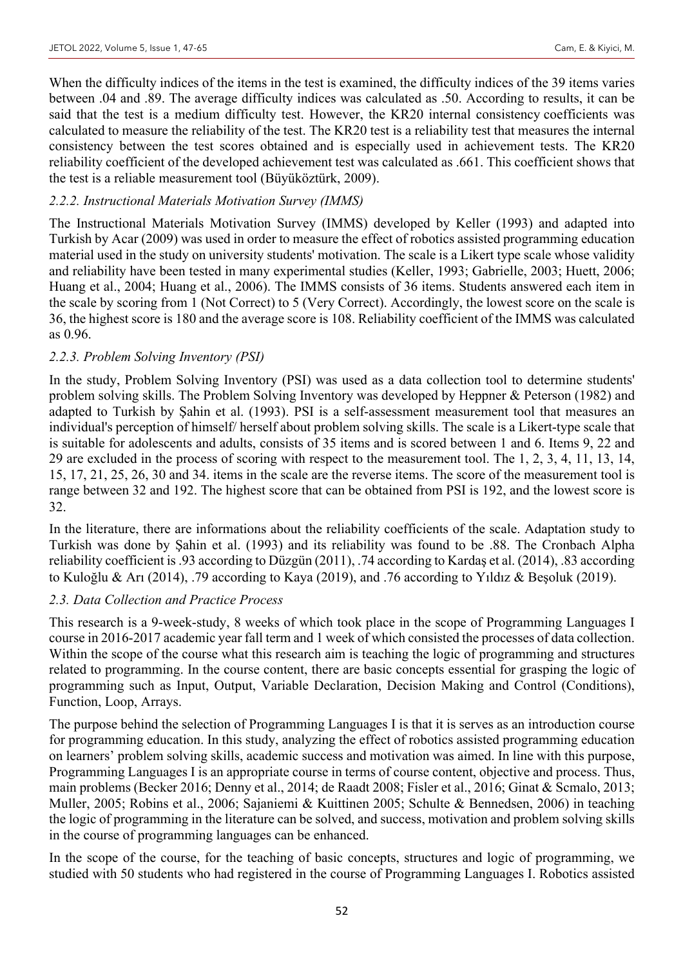When the difficulty indices of the items in the test is examined, the difficulty indices of the 39 items varies between .04 and .89. The average difficulty indices was calculated as .50. According to results, it can be said that the test is a medium difficulty test. However, the KR20 internal consistency coefficients was calculated to measure the reliability of the test. The KR20 test is a reliability test that measures the internal consistency between the test scores obtained and is especially used in achievement tests. The KR20 reliability coefficient of the developed achievement test was calculated as .661. This coefficient shows that the test is a reliable measurement tool (Büyüköztürk, 2009).

## *2.2.2. Instructional Materials Motivation Survey (IMMS)*

The Instructional Materials Motivation Survey (IMMS) developed by Keller (1993) and adapted into Turkish by Acar (2009) was used in order to measure the effect of robotics assisted programming education material used in the study on university students' motivation. The scale is a Likert type scale whose validity and reliability have been tested in many experimental studies (Keller, 1993; Gabrielle, 2003; Huett, 2006; Huang et al., 2004; Huang et al., 2006). The IMMS consists of 36 items. Students answered each item in the scale by scoring from 1 (Not Correct) to 5 (Very Correct). Accordingly, the lowest score on the scale is 36, the highest score is 180 and the average score is 108. Reliability coefficient of the IMMS was calculated as 0.96.

## *2.2.3. Problem Solving Inventory (PSI)*

In the study, Problem Solving Inventory (PSI) was used as a data collection tool to determine students' problem solving skills. The Problem Solving Inventory was developed by Heppner & Peterson (1982) and adapted to Turkish by Şahin et al. (1993). PSI is a self-assessment measurement tool that measures an individual's perception of himself/ herself about problem solving skills. The scale is a Likert-type scale that is suitable for adolescents and adults, consists of 35 items and is scored between 1 and 6. Items 9, 22 and 29 are excluded in the process of scoring with respect to the measurement tool. The 1, 2, 3, 4, 11, 13, 14, 15, 17, 21, 25, 26, 30 and 34. items in the scale are the reverse items. The score of the measurement tool is range between 32 and 192. The highest score that can be obtained from PSI is 192, and the lowest score is 32.

In the literature, there are informations about the reliability coefficients of the scale. Adaptation study to Turkish was done by Şahin et al. (1993) and its reliability was found to be .88. The Cronbach Alpha reliability coefficient is.93 according to Düzgün (2011), .74 according to Kardaş et al. (2014), .83 according to Kuloğlu & Arı (2014), .79 according to Kaya (2019), and .76 according to Yıldız & Beşoluk (2019).

## *2.3. Data Collection and Practice Process*

This research is a 9-week-study, 8 weeks of which took place in the scope of Programming Languages I course in 2016-2017 academic year fall term and 1 week of which consisted the processes of data collection. Within the scope of the course what this research aim is teaching the logic of programming and structures related to programming. In the course content, there are basic concepts essential for grasping the logic of programming such as Input, Output, Variable Declaration, Decision Making and Control (Conditions), Function, Loop, Arrays.

The purpose behind the selection of Programming Languages I is that it is serves as an introduction course for programming education. In this study, analyzing the effect of robotics assisted programming education on learners' problem solving skills, academic success and motivation was aimed. In line with this purpose, Programming Languages I is an appropriate course in terms of course content, objective and process. Thus, main problems (Becker 2016; Denny et al., 2014; de Raadt 2008; Fisler et al., 2016; Ginat & Scmalo, 2013; Muller, 2005; Robins et al., 2006; Sajaniemi & Kuittinen 2005; Schulte & Bennedsen, 2006) in teaching the logic of programming in the literature can be solved, and success, motivation and problem solving skills in the course of programming languages can be enhanced.

In the scope of the course, for the teaching of basic concepts, structures and logic of programming, we studied with 50 students who had registered in the course of Programming Languages I. Robotics assisted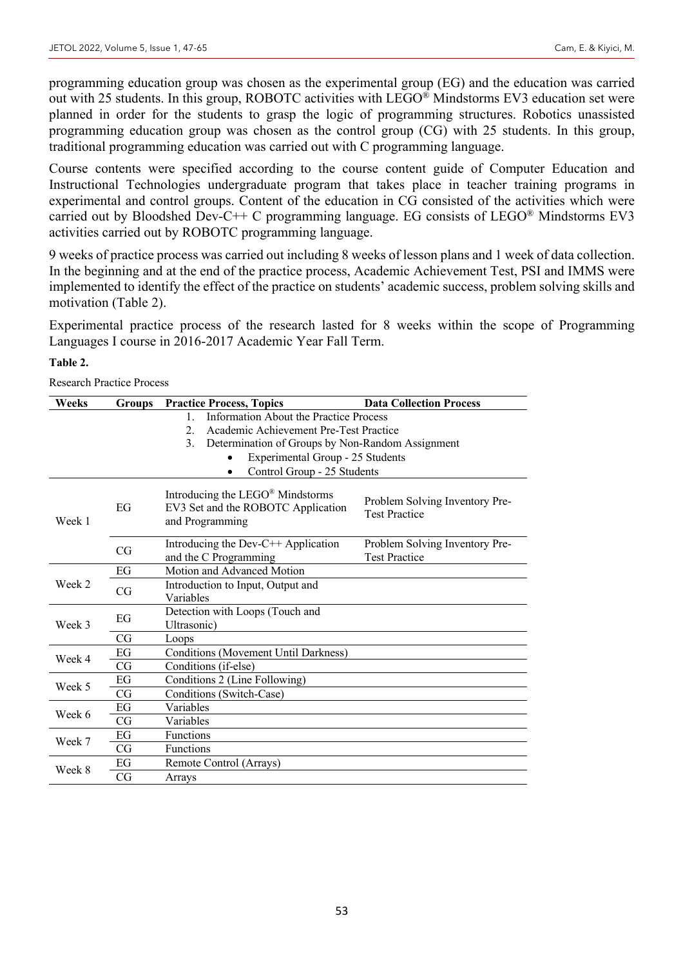programming education group was chosen as the experimental group (EG) and the education was carried out with 25 students. In this group, ROBOTC activities with LEGO® Mindstorms EV3 education set were planned in order for the students to grasp the logic of programming structures. Robotics unassisted programming education group was chosen as the control group (CG) with 25 students. In this group, traditional programming education was carried out with C programming language.

Course contents were specified according to the course content guide of Computer Education and Instructional Technologies undergraduate program that takes place in teacher training programs in experimental and control groups. Content of the education in CG consisted of the activities which were carried out by Bloodshed Dev-C++ C programming language. EG consists of  $LEGO^{\circledR}$  Mindstorms EV3 activities carried out by ROBOTC programming language.

9 weeks of practice process was carried out including 8 weeks of lesson plans and 1 week of data collection. In the beginning and at the end of the practice process, Academic Achievement Test, PSI and IMMS were implemented to identify the effect of the practice on students' academic success, problem solving skills and motivation (Table 2).

Experimental practice process of the research lasted for 8 weeks within the scope of Programming Languages I course in 2016-2017 Academic Year Fall Term.

#### **Table 2.**

Research Practice Process

| Weeks  | <b>Groups</b> | <b>Practice Process, Topics</b>                                                                       | <b>Data Collection Process</b>                         |  |  |  |  |
|--------|---------------|-------------------------------------------------------------------------------------------------------|--------------------------------------------------------|--|--|--|--|
|        |               | Information About the Practice Process<br>$\mathbf{1}$                                                |                                                        |  |  |  |  |
|        |               | Academic Achievement Pre-Test Practice<br>2.                                                          |                                                        |  |  |  |  |
|        |               | $\mathcal{E}$<br>Determination of Groups by Non-Random Assignment                                     |                                                        |  |  |  |  |
|        |               | Experimental Group - 25 Students                                                                      |                                                        |  |  |  |  |
|        |               | Control Group - 25 Students<br>٠                                                                      |                                                        |  |  |  |  |
| Week 1 | EG            | Introducing the LEGO <sup>®</sup> Mindstorms<br>EV3 Set and the ROBOTC Application<br>and Programming | Problem Solving Inventory Pre-<br><b>Test Practice</b> |  |  |  |  |
|        | CG            | Introducing the Dev-C++ Application<br>and the C Programming                                          | Problem Solving Inventory Pre-<br><b>Test Practice</b> |  |  |  |  |
|        | EG            | Motion and Advanced Motion                                                                            |                                                        |  |  |  |  |
| Week 2 | CG            | Introduction to Input, Output and                                                                     |                                                        |  |  |  |  |
|        |               | Variables                                                                                             |                                                        |  |  |  |  |
|        | EG            | Detection with Loops (Touch and                                                                       |                                                        |  |  |  |  |
| Week 3 |               | Ultrasonic)                                                                                           |                                                        |  |  |  |  |
|        | CG            | Loops                                                                                                 |                                                        |  |  |  |  |
| Week 4 | EG            | <b>Conditions (Movement Until Darkness)</b>                                                           |                                                        |  |  |  |  |
|        | CG            | Conditions (if-else)                                                                                  |                                                        |  |  |  |  |
| Week 5 | EG            | Conditions 2 (Line Following)                                                                         |                                                        |  |  |  |  |
|        | CG            | Conditions (Switch-Case)                                                                              |                                                        |  |  |  |  |
| Week 6 | EG            | Variables                                                                                             |                                                        |  |  |  |  |
|        | CG            | Variables                                                                                             |                                                        |  |  |  |  |
| Week 7 | EG            | Functions                                                                                             |                                                        |  |  |  |  |
|        | CG            | <b>Functions</b>                                                                                      |                                                        |  |  |  |  |
| Week 8 | EG            | Remote Control (Arrays)                                                                               |                                                        |  |  |  |  |
|        | CG            | Arrays                                                                                                |                                                        |  |  |  |  |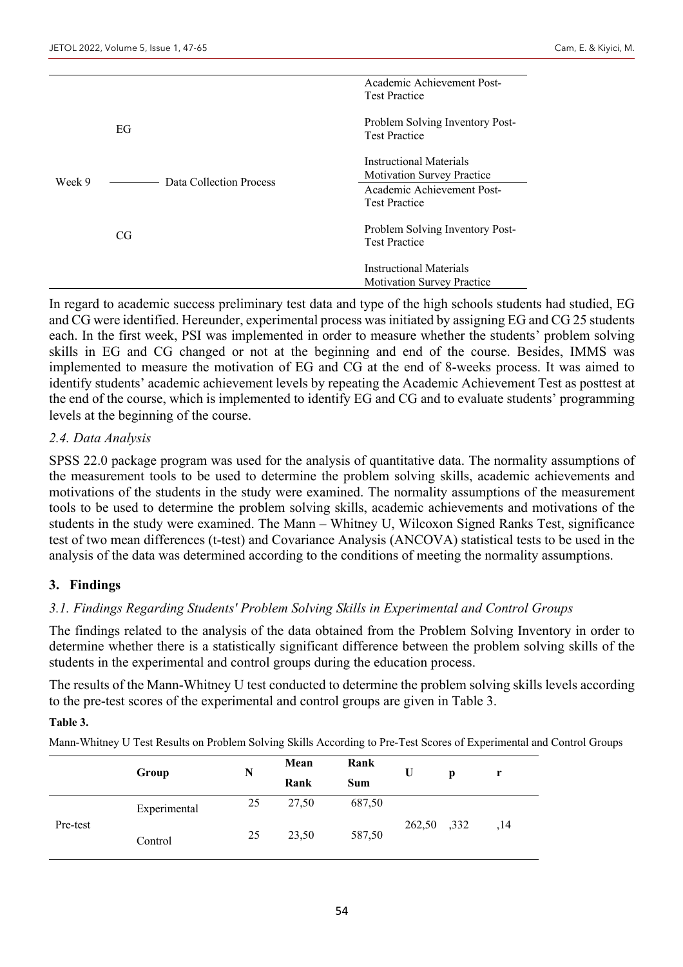|        |                         | Academic Achievement Post-                              |
|--------|-------------------------|---------------------------------------------------------|
|        |                         | <b>Test Practice</b>                                    |
|        |                         | Problem Solving Inventory Post-                         |
|        | EG                      | <b>Test Practice</b>                                    |
|        |                         |                                                         |
| Week 9 |                         | Instructional Materials                                 |
|        | Data Collection Process | <b>Motivation Survey Practice</b>                       |
|        |                         | Academic Achievement Post-                              |
|        |                         | <b>Test Practice</b>                                    |
|        |                         |                                                         |
|        | CG                      | Problem Solving Inventory Post-<br><b>Test Practice</b> |
|        |                         |                                                         |
|        |                         | Instructional Materials                                 |
|        |                         | <b>Motivation Survey Practice</b>                       |

In regard to academic success preliminary test data and type of the high schools students had studied, EG and CG were identified. Hereunder, experimental process was initiated by assigning EG and CG 25 students each. In the first week, PSI was implemented in order to measure whether the students' problem solving skills in EG and CG changed or not at the beginning and end of the course. Besides, IMMS was implemented to measure the motivation of EG and CG at the end of 8-weeks process. It was aimed to identify students' academic achievement levels by repeating the Academic Achievement Test as posttest at the end of the course, which is implemented to identify EG and CG and to evaluate students' programming levels at the beginning of the course.

## *2.4. Data Analysis*

SPSS 22.0 package program was used for the analysis of quantitative data. The normality assumptions of the measurement tools to be used to determine the problem solving skills, academic achievements and motivations of the students in the study were examined. The normality assumptions of the measurement tools to be used to determine the problem solving skills, academic achievements and motivations of the students in the study were examined. The Mann – Whitney U, Wilcoxon Signed Ranks Test, significance test of two mean differences (t-test) and Covariance Analysis (ANCOVA) statistical tests to be used in the analysis of the data was determined according to the conditions of meeting the normality assumptions.

## **3. Findings**

## *3.1. Findings Regarding Students' Problem Solving Skills in Experimental and Control Groups*

The findings related to the analysis of the data obtained from the Problem Solving Inventory in order to determine whether there is a statistically significant difference between the problem solving skills of the students in the experimental and control groups during the education process.

The results of the Mann-Whitney U test conducted to determine the problem solving skills levels according to the pre-test scores of the experimental and control groups are given in Table 3.

#### **Table 3.**

Mann-Whitney U Test Results on Problem Solving Skills According to Pre-Test Scores of Experimental and Control Groups

|          | Group        | Mean<br>N |       | Rank       | U           |   |     |
|----------|--------------|-----------|-------|------------|-------------|---|-----|
|          |              |           | Rank  | <b>Sum</b> |             | p |     |
| Pre-test | Experimental | 25        | 27,50 | 687,50     |             |   |     |
|          | Control      | 25        | 23,50 | 587,50     | 262,50 ,332 |   | ,14 |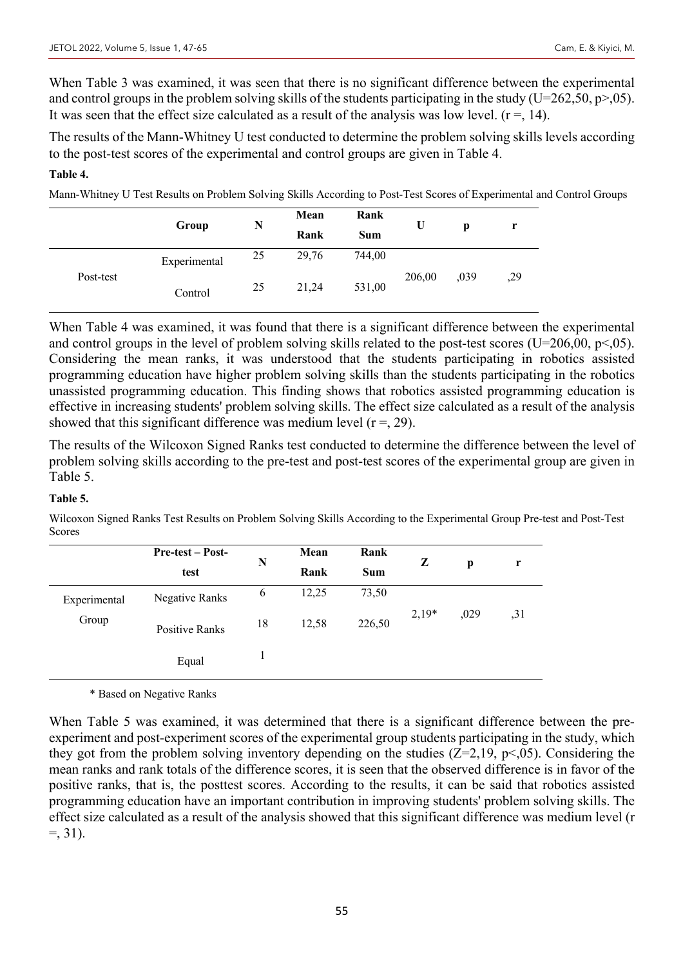When Table 3 was examined, it was seen that there is no significant difference between the experimental and control groups in the problem solving skills of the students participating in the study (U=262,50, p>,05). It was seen that the effect size calculated as a result of the analysis was low level.  $(r = 14)$ .

The results of the Mann-Whitney U test conducted to determine the problem solving skills levels according to the post-test scores of the experimental and control groups are given in Table 4.

#### **Table 4.**

Mann-Whitney U Test Results on Problem Solving Skills According to Post-Test Scores of Experimental and Control Groups

|           |              | Mean<br>N |       | Rank       | U      |      |     |
|-----------|--------------|-----------|-------|------------|--------|------|-----|
|           | Group        |           | Rank  | <b>Sum</b> |        | p    | r   |
|           | Experimental | 25        | 29,76 | 744,00     |        |      |     |
| Post-test | Control      | 25        | 21,24 | 531,00     | 206,00 | ,039 | ,29 |

When Table 4 was examined, it was found that there is a significant difference between the experimental and control groups in the level of problem solving skills related to the post-test scores (U=206,00, p<,05). Considering the mean ranks, it was understood that the students participating in robotics assisted programming education have higher problem solving skills than the students participating in the robotics unassisted programming education. This finding shows that robotics assisted programming education is effective in increasing students' problem solving skills. The effect size calculated as a result of the analysis showed that this significant difference was medium level  $(r = 0.29)$ .

The results of the Wilcoxon Signed Ranks test conducted to determine the difference between the level of problem solving skills according to the pre-test and post-test scores of the experimental group are given in Table 5.

## **Table 5.**

Wilcoxon Signed Ranks Test Results on Problem Solving Skills According to the Experimental Group Pre-test and Post-Test Scores

|              | <b>Pre-test – Post-</b> | Mean<br>Rank<br>N |       |            |         |      |      |
|--------------|-------------------------|-------------------|-------|------------|---------|------|------|
|              | test                    |                   | Rank  | <b>Sum</b> | Z       | p    | r    |
| Experimental | <b>Negative Ranks</b>   | 6                 | 12,25 | 73,50      |         |      |      |
| Group        | Positive Ranks          | 18                | 12,58 | 226,50     | $2,19*$ | ,029 | , 31 |
|              | Equal                   |                   |       |            |         |      |      |

\* Based on Negative Ranks

When Table 5 was examined, it was determined that there is a significant difference between the preexperiment and post-experiment scores of the experimental group students participating in the study, which they got from the problem solving inventory depending on the studies  $(Z=2,19, p<0.05)$ . Considering the mean ranks and rank totals of the difference scores, it is seen that the observed difference is in favor of the positive ranks, that is, the posttest scores. According to the results, it can be said that robotics assisted programming education have an important contribution in improving students' problem solving skills. The effect size calculated as a result of the analysis showed that this significant difference was medium level (r  $=$ , 31).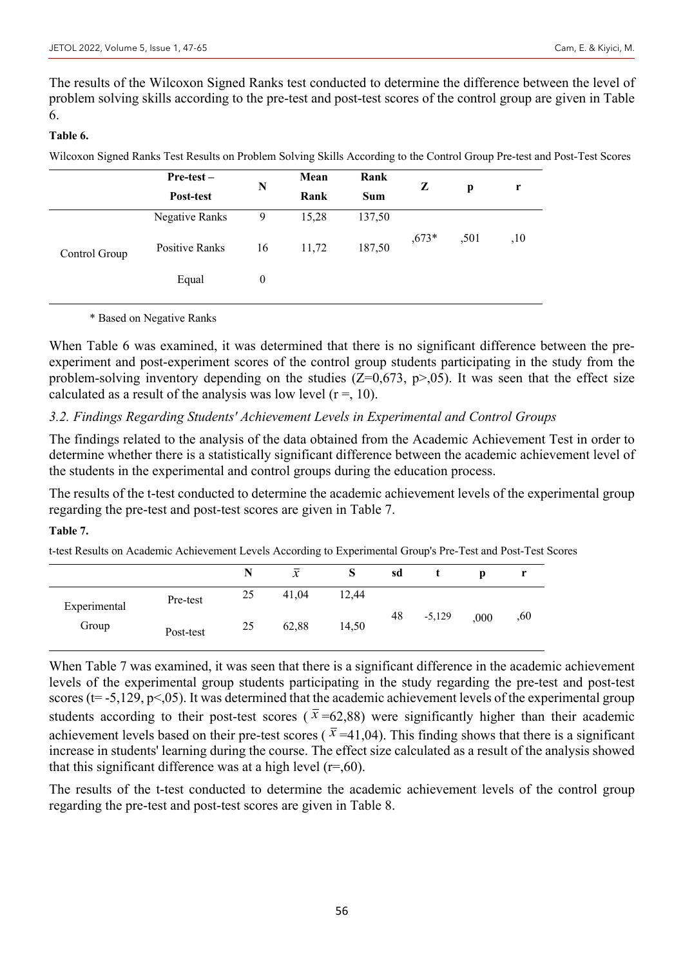The results of the Wilcoxon Signed Ranks test conducted to determine the difference between the level of problem solving skills according to the pre-test and post-test scores of the control group are given in Table 6.

## **Table 6.**

Wilcoxon Signed Ranks Test Results on Problem Solving Skills According to the Control Group Pre-test and Post-Test Scores

|               | Pre-test-      | Mean<br>N |       | Rank   | Z       |      | r   |
|---------------|----------------|-----------|-------|--------|---------|------|-----|
|               | Post-test      |           | Rank  | Sum    |         | p    |     |
| Control Group | Negative Ranks | 9         | 15,28 | 137,50 |         |      |     |
|               | Positive Ranks | 16        | 11,72 | 187,50 | $,673*$ | ,501 | ,10 |
|               | Equal          | 0         |       |        |         |      |     |

\* Based on Negative Ranks

When Table 6 was examined, it was determined that there is no significant difference between the preexperiment and post-experiment scores of the control group students participating in the study from the problem-solving inventory depending on the studies ( $Z=0.673$ ,  $p>0.05$ ). It was seen that the effect size calculated as a result of the analysis was low level  $(r = 10)$ .

## *3.2. Findings Regarding Students' Achievement Levels in Experimental and Control Groups*

The findings related to the analysis of the data obtained from the Academic Achievement Test in order to determine whether there is a statistically significant difference between the academic achievement level of the students in the experimental and control groups during the education process.

The results of the t-test conducted to determine the academic achievement levels of the experimental group regarding the pre-test and post-test scores are given in Table 7.

## **Table 7.**

t-test Results on Academic Achievement Levels According to Experimental Group's Pre-Test and Post-Test Scores

|              |           | N  | $\mathcal{X}$ | S     | sd |          | p    |     |
|--------------|-----------|----|---------------|-------|----|----------|------|-----|
| Experimental | Pre-test  | 25 | 41,04         | 12,44 |    |          |      |     |
| Group        | Post-test | 25 | 62,88         | 14,50 | 48 | $-5,129$ | ,000 | ,60 |

When Table 7 was examined, it was seen that there is a significant difference in the academic achievement levels of the experimental group students participating in the study regarding the pre-test and post-test scores ( $t = -5,129, p < 05$ ). It was determined that the academic achievement levels of the experimental group students according to their post-test scores ( $\bar{x}$ =62,88) were significantly higher than their academic achievement levels based on their pre-test scores ( $\bar{x}$ =41,04). This finding shows that there is a significant increase in students' learning during the course. The effect size calculated as a result of the analysis showed that this significant difference was at a high level  $(r=0.60)$ .

The results of the t-test conducted to determine the academic achievement levels of the control group regarding the pre-test and post-test scores are given in Table 8.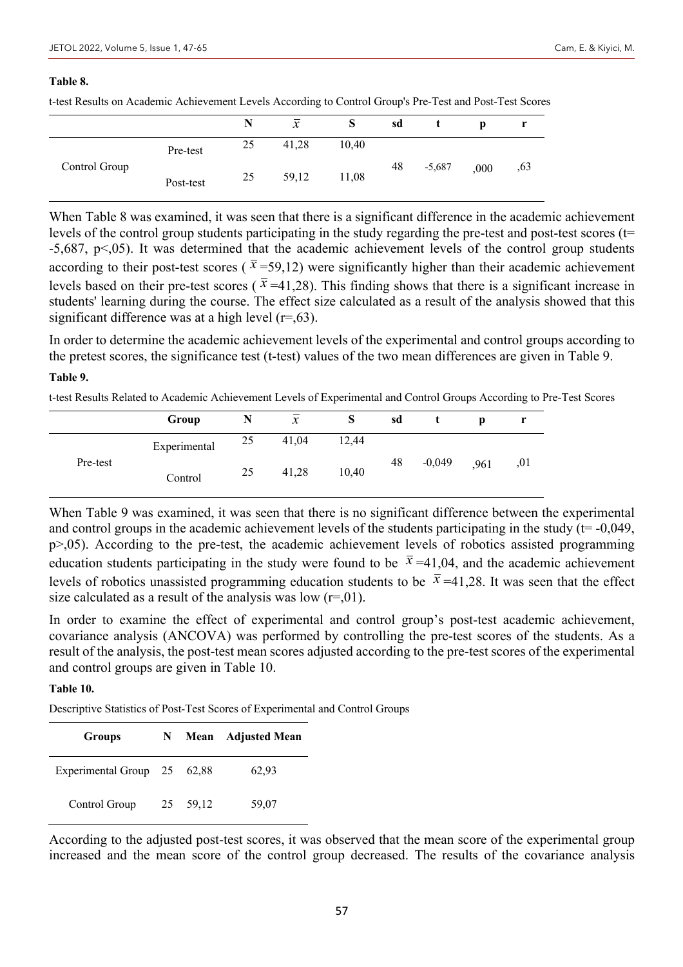#### **Table 8.**

t-test Results on Academic Achievement Levels According to Control Group's Pre-Test and Post-Test Scores

|               |           | N  | $\mathcal{X}$ |       | sd |          | D    |     |
|---------------|-----------|----|---------------|-------|----|----------|------|-----|
|               | Pre-test  | 25 | 41,28         | 10,40 |    |          |      |     |
| Control Group | Post-test | 25 | 59,12         | 11,08 | 48 | $-5,687$ | ,000 | ,63 |

When Table 8 was examined, it was seen that there is a significant difference in the academic achievement levels of the control group students participating in the study regarding the pre-test and post-test scores (t= -5,687, p<,05). It was determined that the academic achievement levels of the control group students according to their post-test scores ( $\bar{x}$ =59,12) were significantly higher than their academic achievement levels based on their pre-test scores ( $\bar{x}$ =41,28). This finding shows that there is a significant increase in students' learning during the course. The effect size calculated as a result of the analysis showed that this significant difference was at a high level  $(r=0.63)$ .

In order to determine the academic achievement levels of the experimental and control groups according to the pretest scores, the significance test (t-test) values of the two mean differences are given in Table 9.

#### **Table 9.**

t-test Results Related to Academic Achievement Levels of Experimental and Control Groups According to Pre-Test Scores

|          | Group        |    | $\mathcal{X}$ | S     | sd |          | D    |     |
|----------|--------------|----|---------------|-------|----|----------|------|-----|
|          | Experimental | 25 | 41,04         | 12,44 |    |          |      |     |
| Pre-test | Control      | 25 | 41,28         | 10,40 | 48 | $-0,049$ | ,961 | ,01 |

When Table 9 was examined, it was seen that there is no significant difference between the experimental and control groups in the academic achievement levels of the students participating in the study ( $t = -0.049$ , p>,05). According to the pre-test, the academic achievement levels of robotics assisted programming education students participating in the study were found to be  $\bar{x} = 41,04$ , and the academic achievement levels of robotics unassisted programming education students to be  $\bar{x} = 41,28$ . It was seen that the effect size calculated as a result of the analysis was low  $(r=0.01)$ .

In order to examine the effect of experimental and control group's post-test academic achievement, covariance analysis (ANCOVA) was performed by controlling the pre-test scores of the students. As a result of the analysis, the post-test mean scores adjusted according to the pre-test scores of the experimental and control groups are given in Table 10.

#### **Table 10.**

Descriptive Statistics of Post-Test Scores of Experimental and Control Groups

| <b>Groups</b>               | N. |          | <b>Mean</b> Adjusted Mean |  |  |  |
|-----------------------------|----|----------|---------------------------|--|--|--|
| Experimental Group 25 62,88 |    |          | 62,93                     |  |  |  |
| Control Group               |    | 25 59,12 | 59,07                     |  |  |  |

According to the adjusted post-test scores, it was observed that the mean score of the experimental group increased and the mean score of the control group decreased. The results of the covariance analysis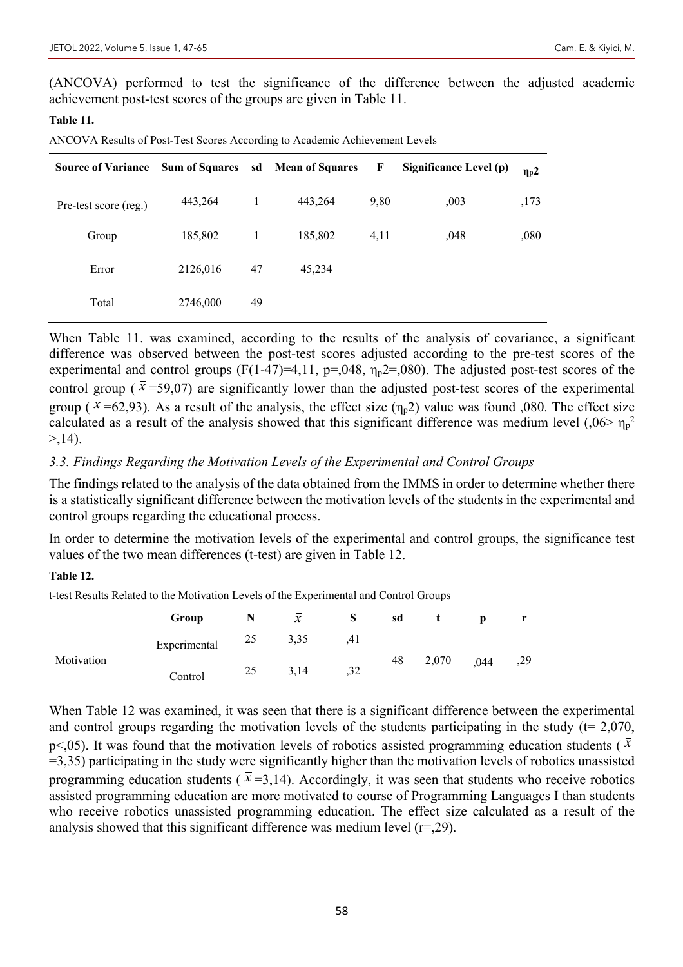(ANCOVA) performed to test the significance of the difference between the adjusted academic achievement post-test scores of the groups are given in Table 11.

#### **Table 11.**

ANCOVA Results of Post-Test Scores According to Academic Achievement Levels

| <b>Source of Variance</b> | <b>Sum of Squares</b> |    | sd Mean of Squares | F    | Significance Level (p) | $\eta_{\rm p}$ 2 |
|---------------------------|-----------------------|----|--------------------|------|------------------------|------------------|
| Pre-test score (reg.)     | 443,264               |    | 443,264            | 9,80 | ,003                   | ,173             |
| Group                     | 185,802               |    | 185,802            | 4,11 | ,048                   | ,080             |
| Error                     | 2126,016              | 47 | 45,234             |      |                        |                  |
| Total                     | 2746,000              | 49 |                    |      |                        |                  |

When Table 11. was examined, according to the results of the analysis of covariance, a significant difference was observed between the post-test scores adjusted according to the pre-test scores of the experimental and control groups  $(F(1-47)=4,11, p=.048, \eta_p2=.080)$ . The adjusted post-test scores of the control group ( $\bar{x}$ =59,07) are significantly lower than the adjusted post-test scores of the experimental group ( $\bar{x}$  =62,93). As a result of the analysis, the effect size ( $\eta_{p}$ 2) value was found ,080. The effect size calculated as a result of the analysis showed that this significant difference was medium level  $(.06> \eta_p^2)$  $> 14$ .

#### *3.3. Findings Regarding the Motivation Levels of the Experimental and Control Groups*

The findings related to the analysis of the data obtained from the IMMS in order to determine whether there is a statistically significant difference between the motivation levels of the students in the experimental and control groups regarding the educational process.

In order to determine the motivation levels of the experimental and control groups, the significance test values of the two mean differences (t-test) are given in Table 12.

#### **Table 12.**

t-test Results Related to the Motivation Levels of the Experimental and Control Groups

|            | Group        |    | $\mathcal{X}$ | S   | sd |       | n    |     |
|------------|--------------|----|---------------|-----|----|-------|------|-----|
| Motivation | Experimental | 25 | 3,35          | ,41 |    | 2,070 | ,044 | ,29 |
|            | Control      | 25 | 3,14          | ,32 | 48 |       |      |     |

When Table 12 was examined, it was seen that there is a significant difference between the experimental and control groups regarding the motivation levels of the students participating in the study ( $t= 2,070$ , p<,05). It was found that the motivation levels of robotics assisted programming education students ( $\bar{x}$ =3,35) participating in the study were significantly higher than the motivation levels of robotics unassisted programming education students ( $\bar{x}$  =3,14). Accordingly, it was seen that students who receive robotics assisted programming education are more motivated to course of Programming Languages I than students who receive robotics unassisted programming education. The effect size calculated as a result of the analysis showed that this significant difference was medium level  $(r=0.29)$ .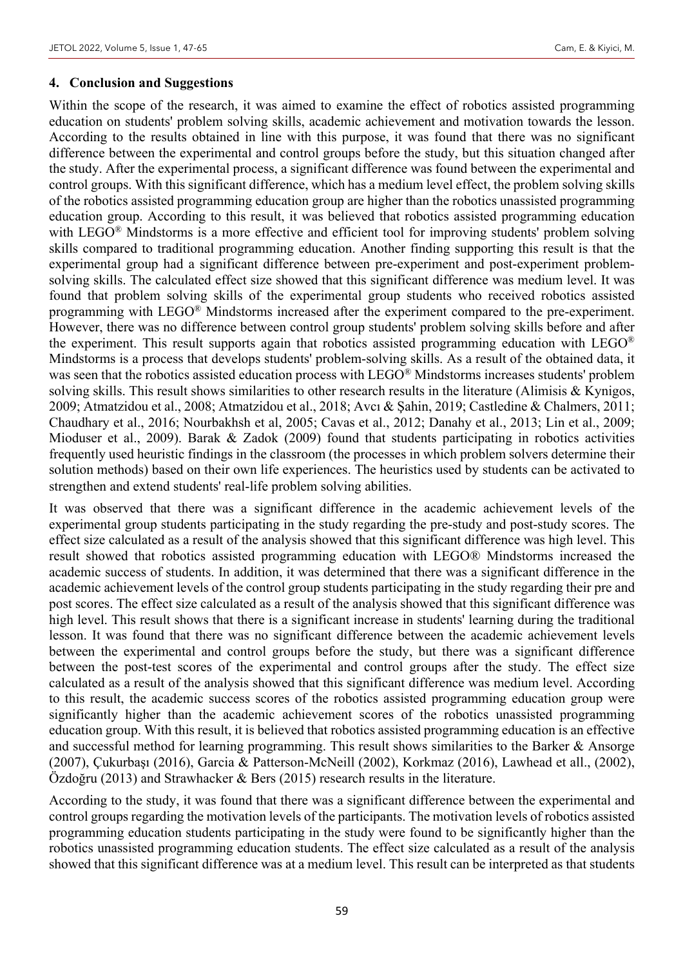#### **4. Conclusion and Suggestions**

Within the scope of the research, it was aimed to examine the effect of robotics assisted programming education on students' problem solving skills, academic achievement and motivation towards the lesson. According to the results obtained in line with this purpose, it was found that there was no significant difference between the experimental and control groups before the study, but this situation changed after the study. After the experimental process, a significant difference was found between the experimental and control groups. With this significant difference, which has a medium level effect, the problem solving skills of the robotics assisted programming education group are higher than the robotics unassisted programming education group. According to this result, it was believed that robotics assisted programming education with LEGO<sup>®</sup> Mindstorms is a more effective and efficient tool for improving students' problem solving skills compared to traditional programming education. Another finding supporting this result is that the experimental group had a significant difference between pre-experiment and post-experiment problemsolving skills. The calculated effect size showed that this significant difference was medium level. It was found that problem solving skills of the experimental group students who received robotics assisted programming with LEGO® Mindstorms increased after the experiment compared to the pre-experiment. However, there was no difference between control group students' problem solving skills before and after the experiment. This result supports again that robotics assisted programming education with LEGO® Mindstorms is a process that develops students' problem-solving skills. As a result of the obtained data, it was seen that the robotics assisted education process with LEGO® Mindstorms increases students' problem solving skills. This result shows similarities to other research results in the literature (Alimisis & Kynigos, 2009; Atmatzidou et al., 2008; Atmatzidou et al., 2018; Avcı & Şahin, 2019; Castledine & Chalmers, 2011; Chaudhary et al., 2016; Nourbakhsh et al, 2005; Cavas et al., 2012; Danahy et al., 2013; Lin et al., 2009; Mioduser et al., 2009). Barak & Zadok (2009) found that students participating in robotics activities frequently used heuristic findings in the classroom (the processes in which problem solvers determine their solution methods) based on their own life experiences. The heuristics used by students can be activated to strengthen and extend students' real-life problem solving abilities.

It was observed that there was a significant difference in the academic achievement levels of the experimental group students participating in the study regarding the pre-study and post-study scores. The effect size calculated as a result of the analysis showed that this significant difference was high level. This result showed that robotics assisted programming education with LEGO® Mindstorms increased the academic success of students. In addition, it was determined that there was a significant difference in the academic achievement levels of the control group students participating in the study regarding their pre and post scores. The effect size calculated as a result of the analysis showed that this significant difference was high level. This result shows that there is a significant increase in students' learning during the traditional lesson. It was found that there was no significant difference between the academic achievement levels between the experimental and control groups before the study, but there was a significant difference between the post-test scores of the experimental and control groups after the study. The effect size calculated as a result of the analysis showed that this significant difference was medium level. According to this result, the academic success scores of the robotics assisted programming education group were significantly higher than the academic achievement scores of the robotics unassisted programming education group. With this result, it is believed that robotics assisted programming education is an effective and successful method for learning programming. This result shows similarities to the Barker & Ansorge (2007), Çukurbaşı (2016), Garcia & Patterson-McNeill (2002), Korkmaz (2016), Lawhead et all., (2002), Özdoğru (2013) and Strawhacker & Bers (2015) research results in the literature.

According to the study, it was found that there was a significant difference between the experimental and control groups regarding the motivation levels of the participants. The motivation levels of robotics assisted programming education students participating in the study were found to be significantly higher than the robotics unassisted programming education students. The effect size calculated as a result of the analysis showed that this significant difference was at a medium level. This result can be interpreted as that students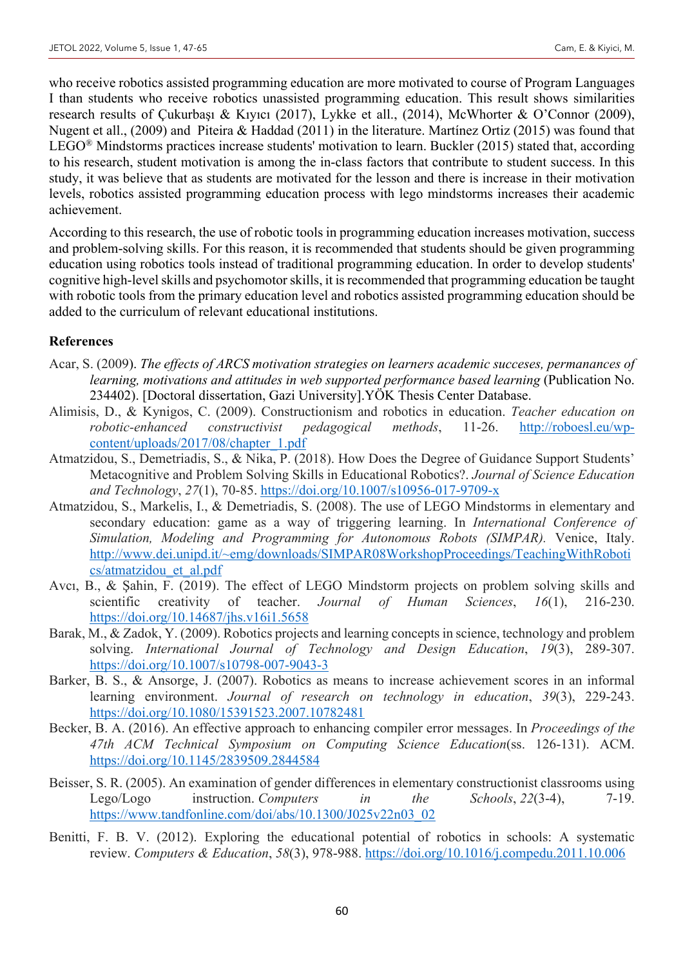who receive robotics assisted programming education are more motivated to course of Program Languages I than students who receive robotics unassisted programming education. This result shows similarities research results of Çukurbaşı & Kıyıcı (2017), Lykke et all., (2014), McWhorter & O'Connor (2009), Nugent et all., (2009) and Piteira & Haddad (2011) in the literature. Martínez Ortiz (2015) was found that LEGO® Mindstorms practices increase students' motivation to learn. Buckler (2015) stated that, according to his research, student motivation is among the in-class factors that contribute to student success. In this study, it was believe that as students are motivated for the lesson and there is increase in their motivation levels, robotics assisted programming education process with lego mindstorms increases their academic achievement.

According to this research, the use of robotic tools in programming education increases motivation, success and problem-solving skills. For this reason, it is recommended that students should be given programming education using robotics tools instead of traditional programming education. In order to develop students' cognitive high-level skills and psychomotor skills, it is recommended that programming education be taught with robotic tools from the primary education level and robotics assisted programming education should be added to the curriculum of relevant educational institutions.

#### **References**

- Acar, S. (2009). *The effects of ARCS motivation strategies on learners academic succeses, permanances of learning, motivations and attitudes in web supported performance based learning (Publication No.* 234402). [Doctoral dissertation, Gazi University].YÖK Thesis Center Database.
- Alimisis, D., & Kynigos, C. (2009). Constructionism and robotics in education. *Teacher education on robotic-enhanced constructivist pedagogical methods*, 11-26. http://roboesl.eu/wpcontent/uploads/2017/08/chapter\_1.pdf
- Atmatzidou, S., Demetriadis, S., & Nika, P. (2018). How Does the Degree of Guidance Support Students' Metacognitive and Problem Solving Skills in Educational Robotics?. *Journal of Science Education and Technology*, *27*(1), 70-85. https://doi.org/10.1007/s10956-017-9709-x
- Atmatzidou, S., Markelis, I., & Demetriadis, S. (2008). The use of LEGO Mindstorms in elementary and secondary education: game as a way of triggering learning. In *International Conference of Simulation, Modeling and Programming for Autonomous Robots (SIMPAR).* Venice, Italy. http://www.dei.unipd.it/~emg/downloads/SIMPAR08WorkshopProceedings/TeachingWithRoboti cs/atmatzidou\_et\_al.pdf
- Avcı, B., & Şahin, F. (2019). The effect of LEGO Mindstorm projects on problem solving skills and scientific creativity of teacher. *Journal of Human Sciences*, *16*(1), 216-230. https://doi.org/10.14687/jhs.v16i1.5658
- Barak, M., & Zadok, Y. (2009). Robotics projects and learning concepts in science, technology and problem solving. *International Journal of Technology and Design Education*, *19*(3), 289-307. https://doi.org/10.1007/s10798-007-9043-3
- Barker, B. S., & Ansorge, J. (2007). Robotics as means to increase achievement scores in an informal learning environment. *Journal of research on technology in education*, *39*(3), 229-243. https://doi.org/10.1080/15391523.2007.10782481
- Becker, B. A. (2016). An effective approach to enhancing compiler error messages. In *Proceedings of the 47th ACM Technical Symposium on Computing Science Education*(ss. 126-131). ACM. https://doi.org/10.1145/2839509.2844584
- Beisser, S. R. (2005). An examination of gender differences in elementary constructionist classrooms using Lego/Logo instruction. *Computers in the Schools*, *22*(3-4), 7-19. https://www.tandfonline.com/doi/abs/10.1300/J025v22n03\_02
- Benitti, F. B. V. (2012). Exploring the educational potential of robotics in schools: A systematic review. *Computers & Education*, *58*(3), 978-988. https://doi.org/10.1016/j.compedu.2011.10.006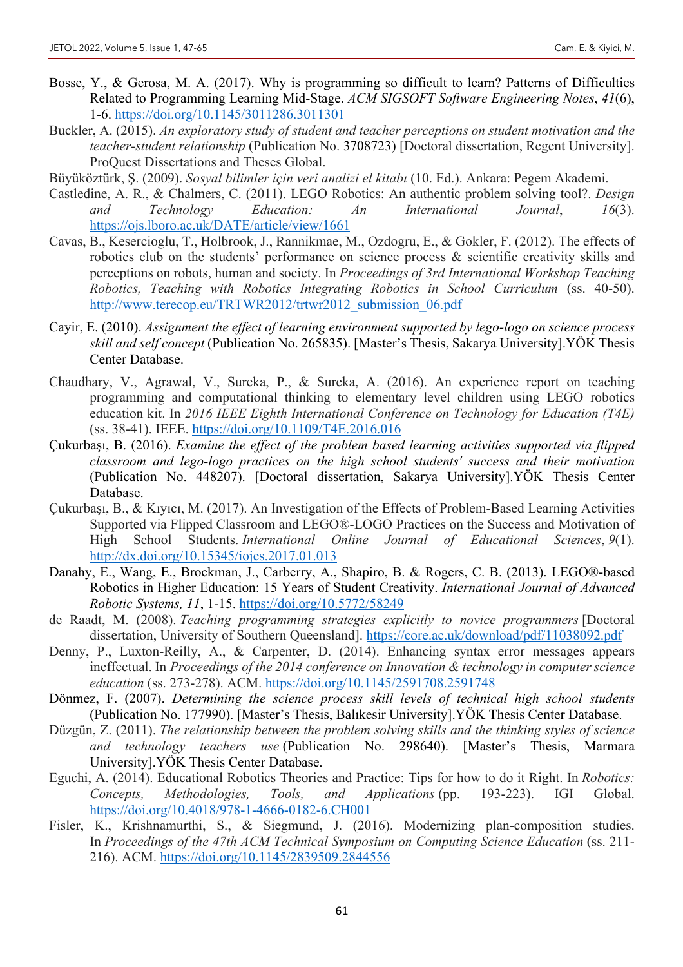- Bosse, Y., & Gerosa, M. A. (2017). Why is programming so difficult to learn? Patterns of Difficulties Related to Programming Learning Mid-Stage. *ACM SIGSOFT Software Engineering Notes*, *41*(6), 1-6. https://doi.org/10.1145/3011286.3011301
- Buckler, A. (2015). *An exploratory study of student and teacher perceptions on student motivation and the teacher-student relationship* (Publication No. 3708723) [Doctoral dissertation, Regent University]. ProQuest Dissertations and Theses Global.
- Büyüköztürk, Ş. (2009). *Sosyal bilimler için veri analizi el kitabı* (10. Ed.). Ankara: Pegem Akademi.
- Castledine, A. R., & Chalmers, C. (2011). LEGO Robotics: An authentic problem solving tool?. *Design and Technology Education: An International Journal*, *16*(3). https://ojs.lboro.ac.uk/DATE/article/view/1661
- Cavas, B., Kesercioglu, T., Holbrook, J., Rannikmae, M., Ozdogru, E., & Gokler, F. (2012). The effects of robotics club on the students' performance on science process & scientific creativity skills and perceptions on robots, human and society. In *Proceedings of 3rd International Workshop Teaching Robotics, Teaching with Robotics Integrating Robotics in School Curriculum* (ss. 40-50). http://www.terecop.eu/TRTWR2012/trtwr2012\_submission\_06.pdf
- Cayir, E. (2010). *Assignment the effect of learning environment supported by lego-logo on science process skill and self concept* (Publication No. 265835). [Master's Thesis, Sakarya University].YÖK Thesis Center Database.
- Chaudhary, V., Agrawal, V., Sureka, P., & Sureka, A. (2016). An experience report on teaching programming and computational thinking to elementary level children using LEGO robotics education kit. In *2016 IEEE Eighth International Conference on Technology for Education (T4E)* (ss. 38-41). IEEE. https://doi.org/10.1109/T4E.2016.016
- Çukurbaşı, B. (2016). *Examine the effect of the problem based learning activities supported via flipped classroom and lego-logo practices on the high school students' success and their motivation*  (Publication No. 448207). [Doctoral dissertation, Sakarya University].YÖK Thesis Center Database.
- Çukurbaşı, B., & Kıyıcı, M. (2017). An Investigation of the Effects of Problem-Based Learning Activities Supported via Flipped Classroom and LEGO®-LOGO Practices on the Success and Motivation of High School Students. *International Online Journal of Educational Sciences*, *9*(1). http://dx.doi.org/10.15345/iojes.2017.01.013
- Danahy, E., Wang, E., Brockman, J., Carberry, A., Shapiro, B. & Rogers, C. B. (2013). LEGO®-based Robotics in Higher Education: 15 Years of Student Creativity. *International Journal of Advanced Robotic Systems, 11*, 1-15. https://doi.org/10.5772/58249
- de Raadt, M. (2008). *Teaching programming strategies explicitly to novice programmers* [Doctoral dissertation, University of Southern Queensland]. https://core.ac.uk/download/pdf/11038092.pdf
- Denny, P., Luxton-Reilly, A., & Carpenter, D. (2014). Enhancing syntax error messages appears ineffectual. In *Proceedings of the 2014 conference on Innovation & technology in computer science education* (ss. 273-278). ACM. https://doi.org/10.1145/2591708.2591748
- Dönmez, F. (2007). *Determining the science process skill levels of technical high school students*  (Publication No. 177990). [Master's Thesis, Balıkesir University].YÖK Thesis Center Database.
- Düzgün, Z. (2011). *The relationship between the problem solving skills and the thinking styles of science and technology teachers use* (Publication No. 298640). [Master's Thesis, Marmara University].YÖK Thesis Center Database.
- Eguchi, A. (2014). Educational Robotics Theories and Practice: Tips for how to do it Right. In *Robotics: Concepts, Methodologies, Tools, and Applications* (pp. 193-223). IGI Global. https://doi.org/10.4018/978-1-4666-0182-6.CH001
- Fisler, K., Krishnamurthi, S., & Siegmund, J. (2016). Modernizing plan-composition studies. In *Proceedings of the 47th ACM Technical Symposium on Computing Science Education* (ss. 211- 216). ACM. https://doi.org/10.1145/2839509.2844556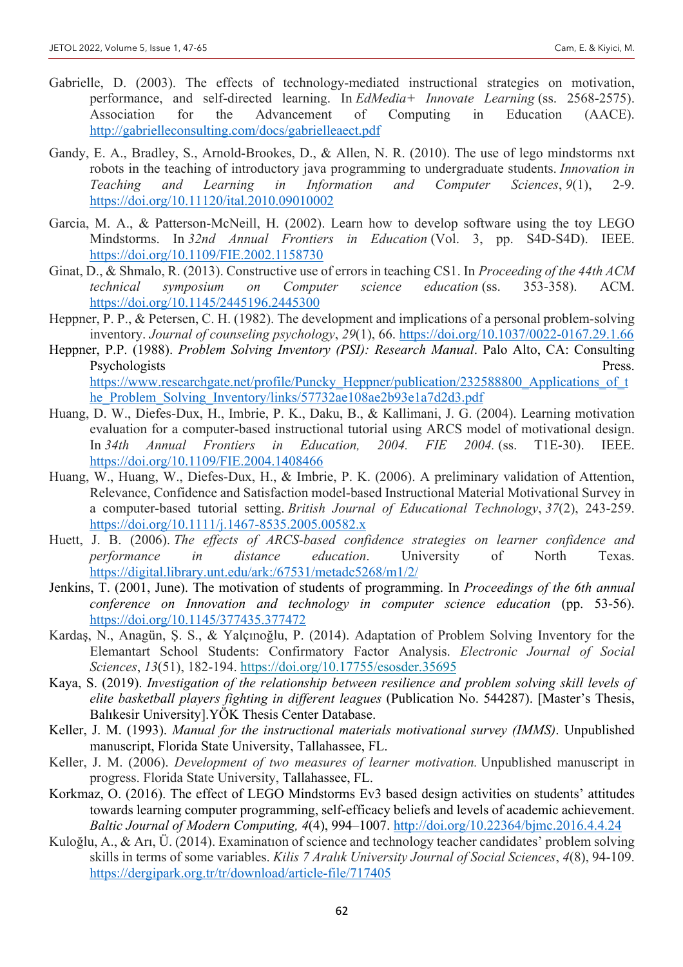- Gabrielle, D. (2003). The effects of technology-mediated instructional strategies on motivation, performance, and self-directed learning. In *EdMedia+ Innovate Learning* (ss. 2568-2575). Association for the Advancement of Computing in Education (AACE). http://gabrielleconsulting.com/docs/gabrielleaect.pdf
- Gandy, E. A., Bradley, S., Arnold-Brookes, D., & Allen, N. R. (2010). The use of lego mindstorms nxt robots in the teaching of introductory java programming to undergraduate students. *Innovation in Teaching and Learning in Information and Computer Sciences*, *9*(1), 2-9. https://doi.org/10.11120/ital.2010.09010002
- Garcia, M. A., & Patterson-McNeill, H. (2002). Learn how to develop software using the toy LEGO Mindstorms. In *32nd Annual Frontiers in Education* (Vol. 3, pp. S4D-S4D). IEEE. https://doi.org/10.1109/FIE.2002.1158730
- Ginat, D., & Shmalo, R. (2013). Constructive use of errors in teaching CS1. In *Proceeding of the 44th ACM technical symposium on Computer science education* (ss. 353-358). ACM. https://doi.org/10.1145/2445196.2445300
- Heppner, P. P., & Petersen, C. H. (1982). The development and implications of a personal problem-solving inventory. *Journal of counseling psychology*, *29*(1), 66. https://doi.org/10.1037/0022-0167.29.1.66
- Heppner, P.P. (1988). *Problem Solving Inventory (PSI): Research Manual*. Palo Alto, CA: Consulting Psychologists Press. https://www.researchgate.net/profile/Puncky\_Heppner/publication/232588800\_Applications\_of\_t he\_Problem\_Solving\_Inventory/links/57732ae108ae2b93e1a7d2d3.pdf
- Huang, D. W., Diefes-Dux, H., Imbrie, P. K., Daku, B., & Kallimani, J. G. (2004). Learning motivation evaluation for a computer-based instructional tutorial using ARCS model of motivational design. In *34th Annual Frontiers in Education, 2004. FIE 2004.* (ss. T1E-30). IEEE. https://doi.org/10.1109/FIE.2004.1408466
- Huang, W., Huang, W., Diefes‐Dux, H., & Imbrie, P. K. (2006). A preliminary validation of Attention, Relevance, Confidence and Satisfaction model‐based Instructional Material Motivational Survey in a computer‐based tutorial setting. *British Journal of Educational Technology*, *37*(2), 243-259. https://doi.org/10.1111/j.1467-8535.2005.00582.x
- Huett, J. B. (2006). *The effects of ARCS-based confidence strategies on learner confidence and performance in distance education*. University of North Texas. https://digital.library.unt.edu/ark:/67531/metadc5268/m1/2/
- Jenkins, T. (2001, June). The motivation of students of programming. In *Proceedings of the 6th annual conference on Innovation and technology in computer science education* (pp. 53-56). https://doi.org/10.1145/377435.377472
- Kardaş, N., Anagün, Ş. S., & Yalçınoğlu, P. (2014). Adaptation of Problem Solving Inventory for the Elemantart School Students: Confirmatory Factor Analysis. *Electronic Journal of Social Sciences*, *13*(51), 182-194. https://doi.org/10.17755/esosder.35695
- Kaya, S. (2019). *Investigation of the relationship between resilience and problem solving skill levels of elite basketball players fighting in different leagues* (Publication No. 544287). [Master's Thesis, Balıkesir University].YÖK Thesis Center Database.
- Keller, J. M. (1993). *Manual for the instructional materials motivational survey (IMMS)*. Unpublished manuscript, Florida State University, Tallahassee, FL.
- Keller, J. M. (2006). *Development of two measures of learner motivation.* Unpublished manuscript in progress. Florida State University, Tallahassee, FL.
- Korkmaz, O. (2016). The effect of LEGO Mindstorms Ev3 based design activities on students' attitudes towards learning computer programming, self-efficacy beliefs and levels of academic achievement. *Baltic Journal of Modern Computing, 4*(4), 994–1007. http://doi.org/10.22364/bjmc.2016.4.4.24
- Kuloğlu, A., & Arı, Ü. (2014). Examinatıon of science and technology teacher candidates' problem solving skills in terms of some variables. *Kilis 7 Aralık University Journal of Social Sciences*, *4*(8), 94-109. https://dergipark.org.tr/tr/download/article-file/717405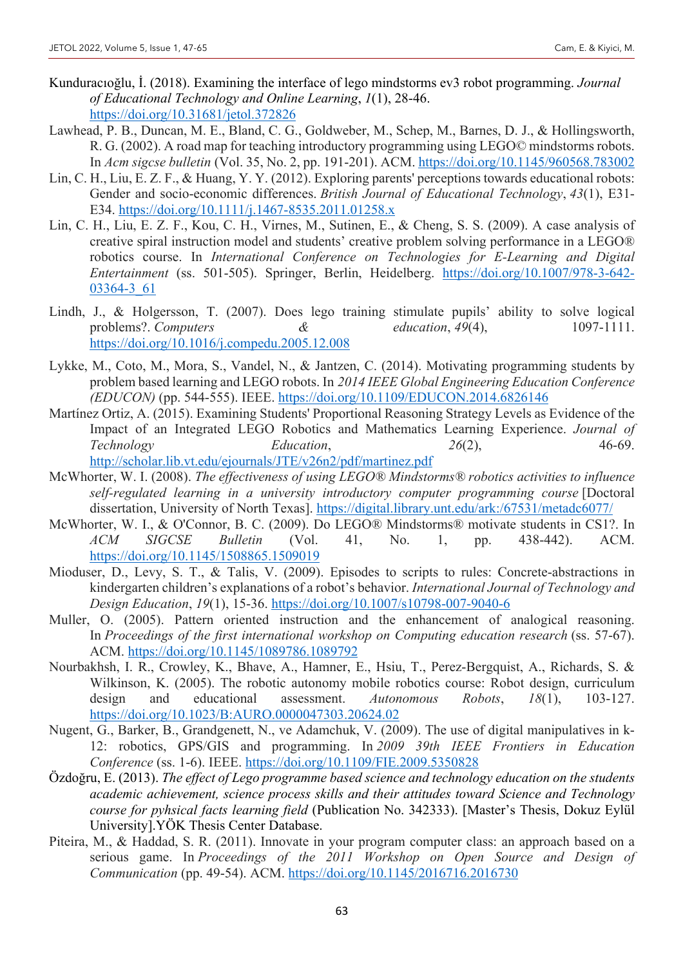- Kunduracıoğlu, İ. (2018). Examining the interface of lego mindstorms ev3 robot programming. *Journal of Educational Technology and Online Learning*, *1*(1), 28-46. https://doi.org/10.31681/jetol.372826
- Lawhead, P. B., Duncan, M. E., Bland, C. G., Goldweber, M., Schep, M., Barnes, D. J., & Hollingsworth, R. G. (2002). A road map for teaching introductory programming using LEGO© mindstorms robots. In *Acm sigcse bulletin* (Vol. 35, No. 2, pp. 191-201). ACM. https://doi.org/10.1145/960568.783002
- Lin, C. H., Liu, E. Z. F., & Huang, Y. Y. (2012). Exploring parents' perceptions towards educational robots: Gender and socio‐economic differences. *British Journal of Educational Technology*, *43*(1), E31- E34. https://doi.org/10.1111/j.1467-8535.2011.01258.x
- Lin, C. H., Liu, E. Z. F., Kou, C. H., Virnes, M., Sutinen, E., & Cheng, S. S. (2009). A case analysis of creative spiral instruction model and students' creative problem solving performance in a LEGO® robotics course. In *International Conference on Technologies for E-Learning and Digital Entertainment* (ss. 501-505). Springer, Berlin, Heidelberg. https://doi.org/10.1007/978-3-642- 03364-3\_61
- Lindh, J., & Holgersson, T. (2007). Does lego training stimulate pupils' ability to solve logical problems?. *Computers* & *education*, *49*(4), 1097-1111. https://doi.org/10.1016/j.compedu.2005.12.008
- Lykke, M., Coto, M., Mora, S., Vandel, N., & Jantzen, C. (2014). Motivating programming students by problem based learning and LEGO robots. In *2014 IEEE Global Engineering Education Conference (EDUCON)* (pp. 544-555). IEEE. https://doi.org/10.1109/EDUCON.2014.6826146
- Martínez Ortiz, A. (2015). Examining Students' Proportional Reasoning Strategy Levels as Evidence of the Impact of an Integrated LEGO Robotics and Mathematics Learning Experience. *Journal of Technology Education*, 26(2), 46-69. http://scholar.lib.vt.edu/ejournals/JTE/v26n2/pdf/martinez.pdf
- McWhorter, W. I. (2008). *The effectiveness of using LEGO® Mindstorms® robotics activities to influence self-regulated learning in a university introductory computer programming course* [Doctoral dissertation, University of North Texas]. https://digital.library.unt.edu/ark:/67531/metadc6077/
- McWhorter, W. I., & O'Connor, B. C. (2009). Do LEGO® Mindstorms® motivate students in CS1?. In *ACM SIGCSE Bulletin* (Vol. 41, No. 1, pp. 438-442). ACM. https://doi.org/10.1145/1508865.1509019
- Mioduser, D., Levy, S. T., & Talis, V. (2009). Episodes to scripts to rules: Concrete-abstractions in kindergarten children's explanations of a robot's behavior. *International Journal of Technology and Design Education*, *19*(1), 15-36. https://doi.org/10.1007/s10798-007-9040-6
- Muller, O. (2005). Pattern oriented instruction and the enhancement of analogical reasoning. In *Proceedings of the first international workshop on Computing education research* (ss. 57-67). ACM. https://doi.org/10.1145/1089786.1089792
- Nourbakhsh, I. R., Crowley, K., Bhave, A., Hamner, E., Hsiu, T., Perez-Bergquist, A., Richards, S. & Wilkinson, K. (2005). The robotic autonomy mobile robotics course: Robot design, curriculum design and educational assessment. *Autonomous Robots*, *18*(1), 103-127. https://doi.org/10.1023/B:AURO.0000047303.20624.02
- Nugent, G., Barker, B., Grandgenett, N., ve Adamchuk, V. (2009). The use of digital manipulatives in k-12: robotics, GPS/GIS and programming. In *2009 39th IEEE Frontiers in Education Conference* (ss. 1-6). IEEE. https://doi.org/10.1109/FIE.2009.5350828
- Özdoğru, E. (2013). *The effect of Lego programme based science and technology education on the students academic achievement, science process skills and their attitudes toward Science and Technology course for pyhsical facts learning field* (Publication No. 342333). [Master's Thesis, Dokuz Eylül University].YÖK Thesis Center Database.
- Piteira, M., & Haddad, S. R. (2011). Innovate in your program computer class: an approach based on a serious game. In *Proceedings of the 2011 Workshop on Open Source and Design of Communication* (pp. 49-54). ACM. https://doi.org/10.1145/2016716.2016730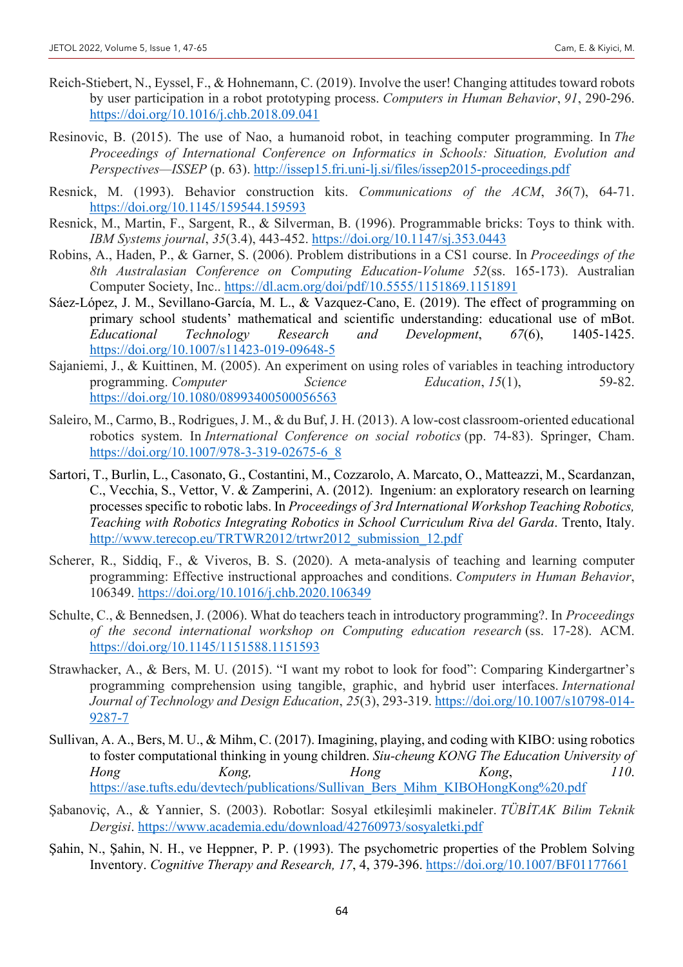- Reich-Stiebert, N., Eyssel, F., & Hohnemann, C. (2019). Involve the user! Changing attitudes toward robots by user participation in a robot prototyping process. *Computers in Human Behavior*, *91*, 290-296. https://doi.org/10.1016/j.chb.2018.09.041
- Resinovic, B. (2015). The use of Nao, a humanoid robot, in teaching computer programming. In *The Proceedings of International Conference on Informatics in Schools: Situation, Evolution and Perspectives—ISSEP* (p. 63). http://issep15.fri.uni-lj.si/files/issep2015-proceedings.pdf
- Resnick, M. (1993). Behavior construction kits. *Communications of the ACM*, *36*(7), 64-71. https://doi.org/10.1145/159544.159593
- Resnick, M., Martin, F., Sargent, R., & Silverman, B. (1996). Programmable bricks: Toys to think with. *IBM Systems journal*, *35*(3.4), 443-452. https://doi.org/10.1147/sj.353.0443
- Robins, A., Haden, P., & Garner, S. (2006). Problem distributions in a CS1 course. In *Proceedings of the 8th Australasian Conference on Computing Education-Volume 52*(ss. 165-173). Australian Computer Society, Inc.. https://dl.acm.org/doi/pdf/10.5555/1151869.1151891
- Sáez-López, J. M., Sevillano-García, M. L., & Vazquez-Cano, E. (2019). The effect of programming on primary school students' mathematical and scientific understanding: educational use of mBot. *Educational Technology Research and Development*, *67*(6), 1405-1425. https://doi.org/10.1007/s11423-019-09648-5
- Sajaniemi, J., & Kuittinen, M. (2005). An experiment on using roles of variables in teaching introductory programming. *Computer* Science Education, 15(1), 59-82. https://doi.org/10.1080/08993400500056563
- Saleiro, M., Carmo, B., Rodrigues, J. M., & du Buf, J. H. (2013). A low-cost classroom-oriented educational robotics system. In *International Conference on social robotics* (pp. 74-83). Springer, Cham. https://doi.org/10.1007/978-3-319-02675-6\_8
- Sartori, T., Burlin, L., Casonato, G., Costantini, M., Cozzarolo, A. Marcato, O., Matteazzi, M., Scardanzan, C., Vecchia, S., Vettor, V. & Zamperini, A. (2012). Ingenium: an exploratory research on learning processes specific to robotic labs. In *Proceedings of 3rd International Workshop Teaching Robotics, Teaching with Robotics Integrating Robotics in School Curriculum Riva del Garda*. Trento, Italy. http://www.terecop.eu/TRTWR2012/trtwr2012\_submission\_12.pdf
- Scherer, R., Siddiq, F., & Viveros, B. S. (2020). A meta-analysis of teaching and learning computer programming: Effective instructional approaches and conditions. *Computers in Human Behavior*, 106349. https://doi.org/10.1016/j.chb.2020.106349
- Schulte, C., & Bennedsen, J. (2006). What do teachers teach in introductory programming?. In *Proceedings of the second international workshop on Computing education research* (ss. 17-28). ACM. https://doi.org/10.1145/1151588.1151593
- Strawhacker, A., & Bers, M. U. (2015). "I want my robot to look for food": Comparing Kindergartner's programming comprehension using tangible, graphic, and hybrid user interfaces. *International Journal of Technology and Design Education*, *25*(3), 293-319. https://doi.org/10.1007/s10798-014- 9287-7
- Sullivan, A. A., Bers, M. U., & Mihm, C. (2017). Imagining, playing, and coding with KIBO: using robotics to foster computational thinking in young children. *Siu-cheung KONG The Education University of Hong Kong, Hong Kong*, *110*. https://ase.tufts.edu/devtech/publications/Sullivan\_Bers\_Mihm\_KIBOHongKong%20.pdf
- Şabanoviç, A., & Yannier, S. (2003). Robotlar: Sosyal etkileşimli makineler. *TÜBİTAK Bilim Teknik Dergisi*. https://www.academia.edu/download/42760973/sosyaletki.pdf
- Şahin, N., Şahin, N. H., ve Heppner, P. P. (1993). The psychometric properties of the Problem Solving Inventory. *Cognitive Therapy and Research, 17*, 4, 379-396. https://doi.org/10.1007/BF01177661